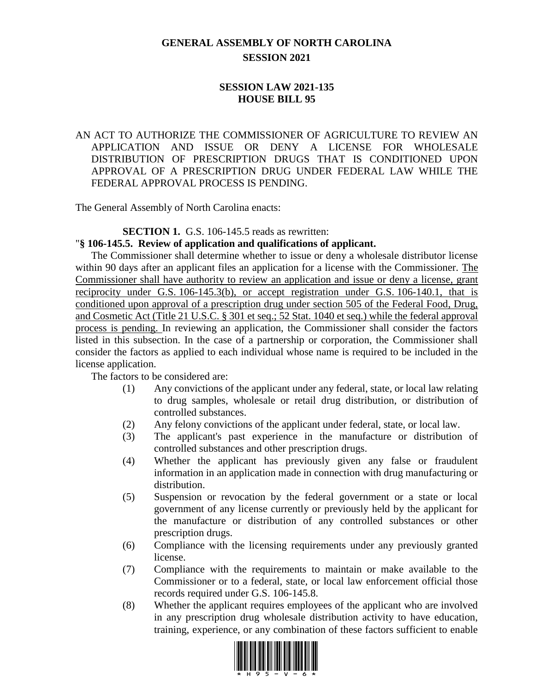## **GENERAL ASSEMBLY OF NORTH CAROLINA SESSION 2021**

## **SESSION LAW 2021-135 HOUSE BILL 95**

AN ACT TO AUTHORIZE THE COMMISSIONER OF AGRICULTURE TO REVIEW AN APPLICATION AND ISSUE OR DENY A LICENSE FOR WHOLESALE DISTRIBUTION OF PRESCRIPTION DRUGS THAT IS CONDITIONED UPON APPROVAL OF A PRESCRIPTION DRUG UNDER FEDERAL LAW WHILE THE FEDERAL APPROVAL PROCESS IS PENDING.

The General Assembly of North Carolina enacts:

## **SECTION 1.** G.S. 106-145.5 reads as rewritten:

## "**§ 106-145.5. Review of application and qualifications of applicant.**

The Commissioner shall determine whether to issue or deny a wholesale distributor license within 90 days after an applicant files an application for a license with the Commissioner. The Commissioner shall have authority to review an application and issue or deny a license, grant reciprocity under G.S. 106-145.3(b), or accept registration under G.S. 106-140.1, that is conditioned upon approval of a prescription drug under section 505 of the Federal Food, Drug, and Cosmetic Act (Title 21 U.S.C. § 301 et seq.; 52 Stat. 1040 et seq.) while the federal approval process is pending. In reviewing an application, the Commissioner shall consider the factors listed in this subsection. In the case of a partnership or corporation, the Commissioner shall consider the factors as applied to each individual whose name is required to be included in the license application.

The factors to be considered are:

- (1) Any convictions of the applicant under any federal, state, or local law relating to drug samples, wholesale or retail drug distribution, or distribution of controlled substances.
- (2) Any felony convictions of the applicant under federal, state, or local law.
- (3) The applicant's past experience in the manufacture or distribution of controlled substances and other prescription drugs.
- (4) Whether the applicant has previously given any false or fraudulent information in an application made in connection with drug manufacturing or distribution.
- (5) Suspension or revocation by the federal government or a state or local government of any license currently or previously held by the applicant for the manufacture or distribution of any controlled substances or other prescription drugs.
- (6) Compliance with the licensing requirements under any previously granted license.
- (7) Compliance with the requirements to maintain or make available to the Commissioner or to a federal, state, or local law enforcement official those records required under G.S. 106-145.8.
- (8) Whether the applicant requires employees of the applicant who are involved in any prescription drug wholesale distribution activity to have education, training, experience, or any combination of these factors sufficient to enable